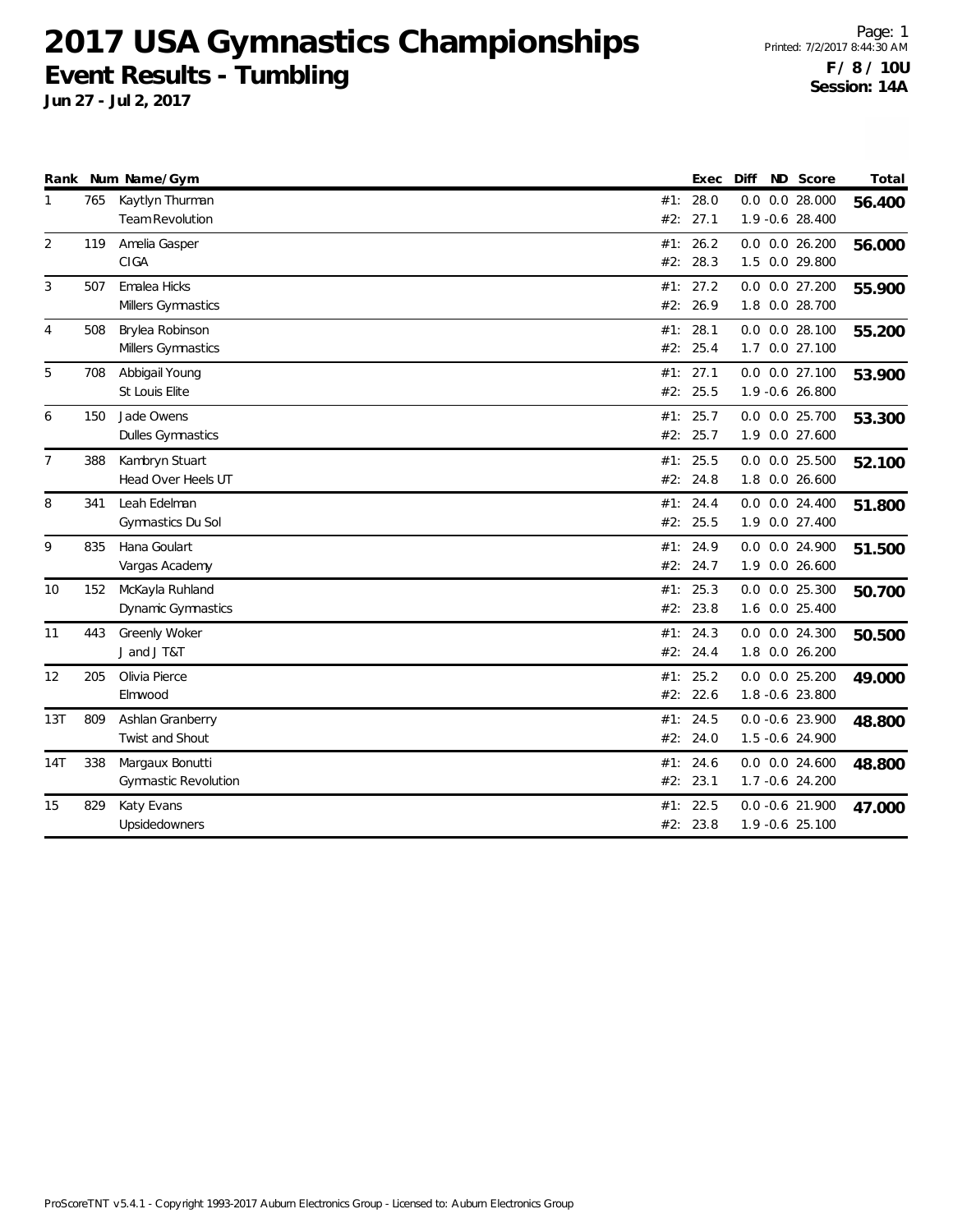**Jun 27 - Jul 2, 2017**

Page: 1 Printed: 7/2/2017 8:44:30 AM **F / 8 / 10U Session: 14A**

| Rank           |     | Num Name/Gym                                   |     | Exec                 | Diff | ND Score                                | Total  |
|----------------|-----|------------------------------------------------|-----|----------------------|------|-----------------------------------------|--------|
| 1              | 765 | Kaytlyn Thurman<br><b>Team Revolution</b>      | #2: | #1: 28.0<br>27.1     |      | $0.0$ $0.0$ 28.000<br>1.9 -0.6 28.400   | 56.400 |
| 2              | 119 | Amelia Gasper<br>CIGA                          |     | #1: 26.2<br>#2: 28.3 |      | $0.0$ $0.0$ $26.200$<br>1.5 0.0 29.800  | 56.000 |
| 3              | 507 | Emalea Hicks<br>Millers Gymnastics             |     | #1: 27.2<br>#2: 26.9 |      | $0.0$ $0.0$ 27.200<br>1.8 0.0 28.700    | 55.900 |
| 4              | 508 | Brylea Robinson<br>Millers Gymnastics          |     | #1: 28.1<br>#2: 25.4 |      | $0.0$ $0.0$ 28.100<br>1.7 0.0 27.100    | 55.200 |
| 5              | 708 | Abbigail Young<br>St Louis Elite               |     | #1: 27.1<br>#2: 25.5 |      | 0.0 0.0 27.100<br>1.9 -0.6 26.800       | 53.900 |
| 6              | 150 | Jade Owens<br><b>Dulles Gymnastics</b>         | #1: | 25.7<br>#2: 25.7     |      | $0.0$ $0.0$ 25.700<br>1.9 0.0 27.600    | 53.300 |
| $\overline{7}$ | 388 | Kambryn Stuart<br>Head Over Heels UT           |     | #1: 25.5<br>#2: 24.8 |      | $0.0$ $0.0$ 25.500<br>1.8 0.0 26.600    | 52.100 |
| 8              | 341 | Leah Edelman<br>Gymnastics Du Sol              | #1: | 24.4<br>#2: 25.5     |      | $0.0$ $0.0$ 24.400<br>1.9 0.0 27.400    | 51.800 |
| 9              | 835 | Hana Goulart<br>Vargas Academy                 |     | #1: 24.9<br>#2: 24.7 |      | 0.0 0.0 24.900<br>1.9 0.0 26.600        | 51.500 |
| 10             | 152 | McKayla Ruhland<br>Dynamic Gymnastics          |     | #1: 25.3<br>#2: 23.8 |      | $0.0$ $0.0$ $25.300$<br>1.6 0.0 25.400  | 50.700 |
| 11             | 443 | Greenly Woker<br>J and J T&T                   |     | #1: 24.3<br>#2: 24.4 |      | 0.0 0.0 24.300<br>1.8 0.0 26.200        | 50.500 |
| 12             | 205 | Olivia Pierce<br>Elmwood                       |     | #1: 25.2<br>#2: 22.6 |      | $0.0$ $0.0$ $25.200$<br>1.8 -0.6 23.800 | 49.000 |
| 13T            | 809 | Ashlan Granberry<br>Twist and Shout            |     | #1: 24.5<br>#2: 24.0 |      | $0.0 - 0.6$ 23.900<br>1.5 -0.6 24.900   | 48.800 |
| 14T            | 338 | Margaux Bonutti<br><b>Gymnastic Revolution</b> | #1: | 24.6<br>#2: 23.1     |      | $0.0$ $0.0$ 24.600<br>1.7 -0.6 24.200   | 48.800 |
| 15             | 829 | Katy Evans<br>Upsidedowners                    | #1: | 22.5<br>#2: 23.8     |      | $0.0 - 0.6$ 21.900<br>1.9 -0.6 25.100   | 47.000 |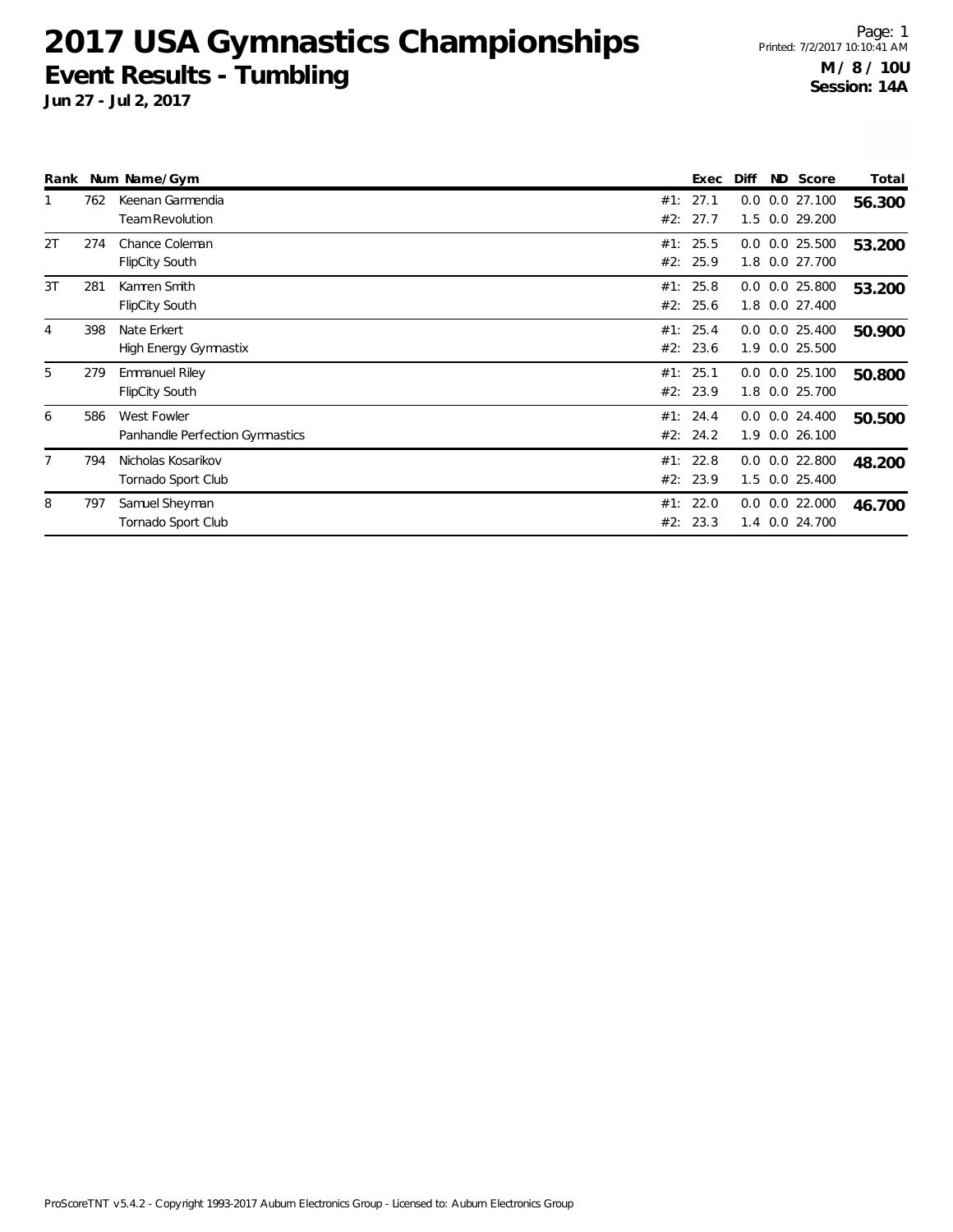**Jun 27 - Jul 2, 2017**

Page: 1 Printed: 7/2/2017 10:10:41 AM **M / 8 / 10U Session: 14A**

| Rank |     | Num Name/Gym                                   |            | Exec             | Diff       | ND Score                             | Total  |
|------|-----|------------------------------------------------|------------|------------------|------------|--------------------------------------|--------|
|      | 762 | Keenan Garmendia<br><b>Team Revolution</b>     | #1:<br>#2: | 27.1<br>27.7     | 1.5        | $0.0$ $0.0$ 27.100<br>0.0 29.200     | 56.300 |
| 2T   | 274 | Chance Coleman<br><b>FlipCity South</b>        | #1:        | 25.5<br>#2: 25.9 |            | $0.0$ $0.0$ 25.500<br>1.8 0.0 27.700 | 53.200 |
| 3T   | 281 | Kamren Smith<br>FlipCity South                 | #2:        | #1: 25.8<br>25.6 | 1.8        | $0.0$ $0.0$ 25.800<br>$0.0$ 27.400   | 53.200 |
| 4    | 398 | Nate Erkert<br>High Energy Gymnastix           | #1:        | 25.4<br>#2: 23.6 | 1.9        | $0.0$ $0.0$ 25.400<br>0.0 25.500     | 50.900 |
| 5    | 279 | <b>Emmanuel Riley</b><br><b>FlipCity South</b> | #1:        | 25.1<br>#2: 23.9 |            | $0.0$ $0.0$ 25.100<br>1.8 0.0 25.700 | 50.800 |
| 6    | 586 | West Fowler<br>Panhandle Perfection Gymnastics | #1:        | 24.4<br>#2: 24.2 | 1.9        | $0.0$ $0.0$ 24.400<br>0.026.100      | 50.500 |
|      | 794 | Nicholas Kosarikov<br>Tornado Sport Club       | #1:        | 22.8<br>#2: 23.9 |            | $0.0$ $0.0$ 22.800<br>1.5 0.0 25.400 | 48.200 |
| 8    | 797 | Samuel Sheyman<br>Tornado Sport Club           | #1:<br>#2: | 22.0<br>23.3     | 0.0<br>1.4 | 0.0 22.000<br>0.0 24.700             | 46.700 |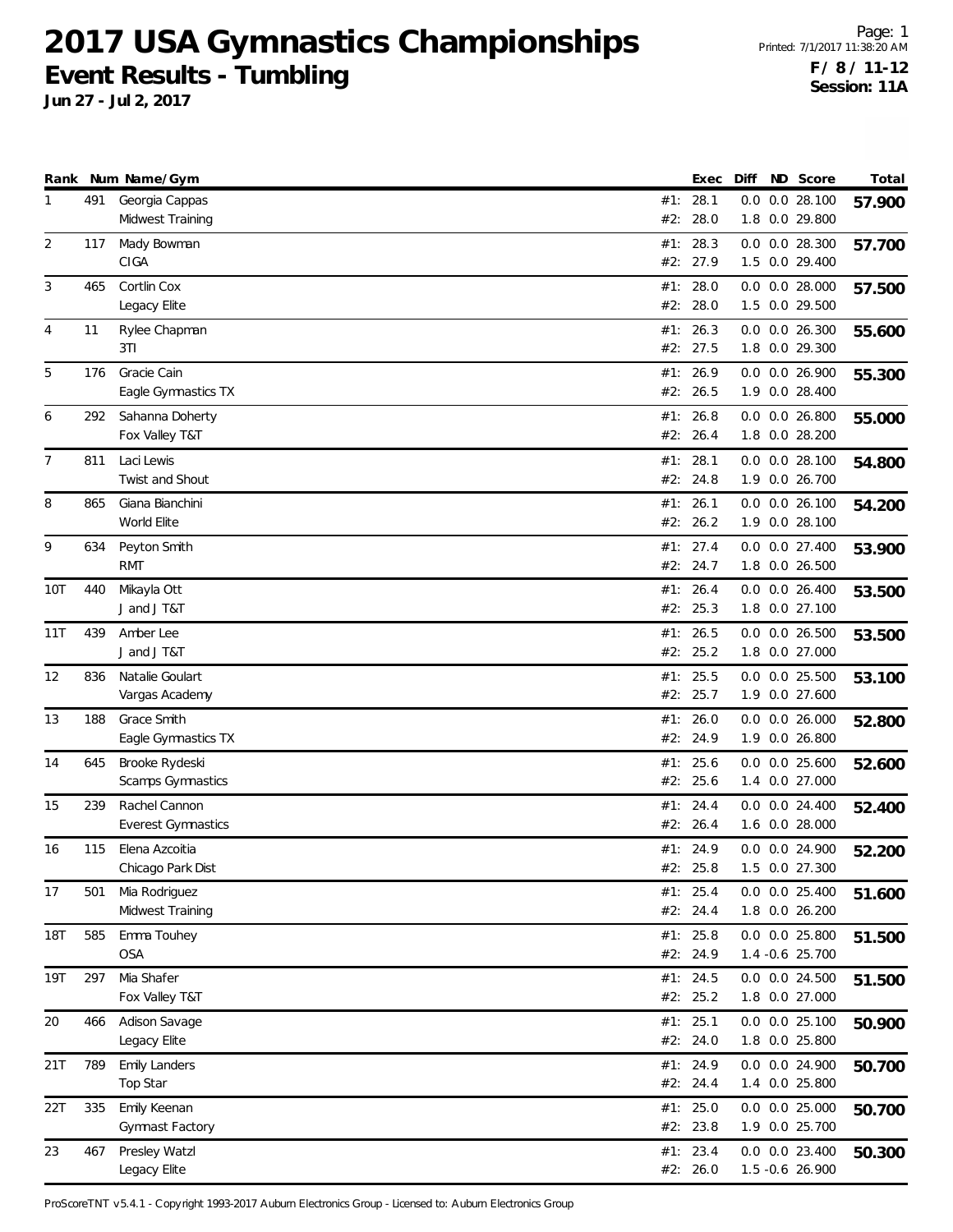**Jun 27 - Jul 2, 2017**

Page: 1 Printed: 7/1/2017 11:38:20 AM **F / 8 / 11-12 Session: 11A**

|     |     | Rank Num Name/Gym            |     | Exec                 | Diff | ND Score           | Total  |
|-----|-----|------------------------------|-----|----------------------|------|--------------------|--------|
| 1   | 491 | Georgia Cappas               |     | #1: 28.1             |      | $0.0$ $0.0$ 28.100 | 57.900 |
|     |     | Midwest Training             | #2: | 28.0                 |      | 1.8 0.0 29.800     |        |
| 2   | 117 | Mady Bowman                  |     | #1: 28.3             |      | 0.0 0.0 28.300     | 57.700 |
|     |     | CIGA                         |     | #2: 27.9             |      | 1.5 0.0 29.400     |        |
| 3   | 465 | Cortlin Cox                  | #1: | 28.0                 |      | $0.0$ $0.0$ 28.000 | 57.500 |
|     |     | Legacy Elite                 | #2: | 28.0                 |      | 1.5 0.0 29.500     |        |
| 4   | 11  | Rylee Chapman                | #1: | 26.3                 |      | $0.0$ $0.0$ 26.300 |        |
|     |     | 3T1                          |     | #2: 27.5             |      | 1.8 0.0 29.300     | 55.600 |
|     |     |                              |     |                      |      |                    |        |
| 5   | 176 | Gracie Cain                  | #1: | 26.9<br>#2: 26.5     |      | 0.0 0.0 26.900     | 55.300 |
|     |     | Eagle Gymnastics TX          |     |                      |      | 1.9 0.0 28.400     |        |
| 6   | 292 | Sahanna Doherty              | #1: | 26.8                 |      | $0.0$ $0.0$ 26.800 | 55.000 |
|     |     | Fox Valley T&T               | #2: | 26.4                 |      | 1.8 0.0 28.200     |        |
| 7   | 811 | Laci Lewis                   | #1: | 28.1                 |      | $0.0$ $0.0$ 28.100 | 54.800 |
|     |     | Twist and Shout              |     | #2: 24.8             |      | 1.9 0.0 26.700     |        |
| 8   | 865 | Giana Bianchini              | #1: | 26.1                 |      | $0.0$ $0.0$ 26.100 | 54.200 |
|     |     | World Elite                  |     | #2: 26.2             |      | 1.9 0.0 28.100     |        |
| 9   | 634 | Peyton Smith                 | #1: | 27.4                 |      | $0.0$ $0.0$ 27.400 | 53.900 |
|     |     | <b>RMT</b>                   | #2: | 24.7                 |      | 1.8 0.0 26.500     |        |
| 10T | 440 | Mikayla Ott                  | #1: | 26.4                 |      | $0.0$ $0.0$ 26.400 | 53.500 |
|     |     | J and J T&T                  |     | #2: 25.3             |      | 1.8 0.0 27.100     |        |
| 11T | 439 | Amber Lee                    | #1: | 26.5                 |      | $0.0$ $0.0$ 26.500 |        |
|     |     | J and J T&T                  |     | #2: 25.2             |      | 1.8 0.0 27.000     | 53.500 |
|     |     |                              |     |                      |      |                    |        |
| 12  | 836 | Natalie Goulart              |     | #1: 25.5             |      | $0.0$ $0.0$ 25.500 | 53.100 |
|     |     | Vargas Academy               |     | #2: 25.7             |      | 1.9 0.0 27.600     |        |
| 13  | 188 | Grace Smith                  | #1: | 26.0                 |      | $0.0$ $0.0$ 26.000 | 52.800 |
|     |     | Eagle Gymnastics TX          |     | #2: 24.9             |      | 1.9 0.0 26.800     |        |
| 14  | 645 | Brooke Rydeski               | #1: | 25.6                 | 0.0  | $0.0$ 25.600       | 52.600 |
|     |     | Scamps Gymnastics            | #2: | 25.6                 |      | 1.4 0.0 27.000     |        |
| 15  | 239 | Rachel Cannon                | #1: | 24.4                 |      | $0.0$ $0.0$ 24.400 | 52.400 |
|     |     | <b>Everest Gymnastics</b>    |     | #2: 26.4             |      | 1.6 0.0 28.000     |        |
| 16  | 115 | Elena Azcoitia               |     | #1: 24.9             |      | 0.0 0.0 24.900     | 52.200 |
|     |     | Chicago Park Dist            |     | #2: 25.8             |      | 1.5 0.0 27.300     |        |
| 17  | 501 | Mia Rodriguez                |     | #1: 25.4             |      | $0.0$ $0.0$ 25.400 | 51.600 |
|     |     | Midwest Training             |     | #2: 24.4             |      | 1.8 0.0 26.200     |        |
| 18T | 585 | Emma Touhey                  |     | #1: $25.8$           |      | 0.0 0.0 25.800     |        |
|     |     | <b>OSA</b>                   |     | #2: 24.9             |      | 1.4 -0.6 25.700    | 51.500 |
|     |     |                              |     |                      |      |                    |        |
| 19T | 297 | Mia Shafer<br>Fox Valley T&T |     | #1: 24.5<br>#2: 25.2 |      | $0.0$ $0.0$ 24.500 | 51.500 |
|     |     |                              |     |                      |      | 1.8 0.0 27.000     |        |
| 20  | 466 | Adison Savage                |     | #1: 25.1             |      | $0.0$ $0.0$ 25.100 | 50.900 |
|     |     | Legacy Elite                 |     | #2: 24.0             |      | 1.8 0.0 25.800     |        |
| 21T | 789 | <b>Emily Landers</b>         |     | #1: 24.9             |      | 0.0 0.0 24.900     | 50.700 |
|     |     | Top Star                     |     | #2: 24.4             |      | 1.4 0.0 25.800     |        |
| 22T | 335 | Emily Keenan                 | #1: | 25.0                 |      | $0.0$ $0.0$ 25.000 | 50.700 |
|     |     | Gymnast Factory              |     | #2: 23.8             |      | 1.9 0.0 25.700     |        |
| 23  | 467 | Presley Watzl                |     | #1: 23.4             |      | $0.0$ $0.0$ 23.400 | 50.300 |
|     |     | Legacy Elite                 |     | #2: 26.0             |      | 1.5 -0.6 26.900    |        |
|     |     |                              |     |                      |      |                    |        |

ProScoreTNT v5.4.1 - Copyright 1993-2017 Auburn Electronics Group - Licensed to: Auburn Electronics Group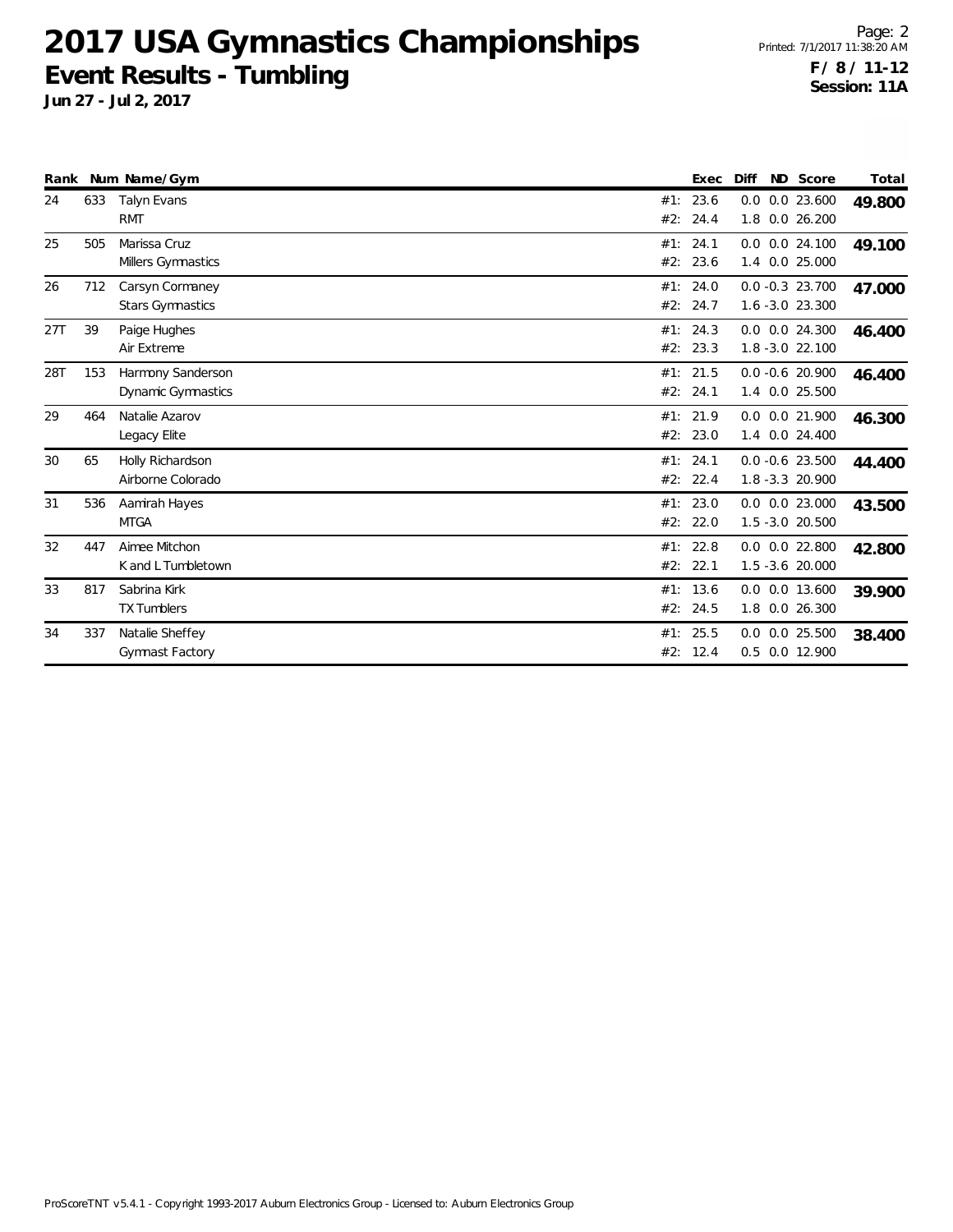**Jun 27 - Jul 2, 2017**

Page: 2 Printed: 7/1/2017 11:38:20 AM **F / 8 / 11-12 Session: 11A**

| Rank |     | Num Name/Gym                               |            | Exec             | Diff | ND Score                                 | Total  |
|------|-----|--------------------------------------------|------------|------------------|------|------------------------------------------|--------|
| 24   | 633 | Talyn Evans<br><b>RMT</b>                  | #1:<br>#2: | 23.6<br>24.4     | 0.0  | 0.0 23.600<br>1.8 0.0 26.200             | 49.800 |
| 25   | 505 | Marissa Cruz<br>Millers Gymnastics         | #1:<br>#2: | 24.1<br>23.6     | 1.4  | $0.0$ $0.0$ 24.100<br>0.0 25.000         | 49.100 |
| 26   | 712 | Carsyn Cormaney<br><b>Stars Gymnastics</b> | #1:<br>#2: | 24.0<br>24.7     |      | $0.0 - 0.3$ 23.700<br>1.6 -3.0 23.300    | 47.000 |
| 27T  | 39  | Paige Hughes<br>Air Extreme                | #1:<br>#2: | 24.3<br>23.3     |      | $0.0$ $0.0$ 24.300<br>1.8 -3.0 22.100    | 46.400 |
| 28T  | 153 | Harmony Sanderson<br>Dynamic Gymnastics    | #2:        | #1: 21.5<br>24.1 |      | $0.0 - 0.6$ 20.900<br>1.4 0.0 25.500     | 46.400 |
| 29   | 464 | Natalie Azarov<br>Legacy Elite             | #2:        | #1: 21.9<br>23.0 | 1.4  | $0.0$ $0.0$ 21.900<br>$0.0$ 24.400       | 46.300 |
| 30   | 65  | Holly Richardson<br>Airborne Colorado      | #1:<br>#2: | 24.1<br>22.4     |      | $0.0 - 0.6$ 23.500<br>1.8 - 3.3 20.900   | 44.400 |
| 31   | 536 | Aamirah Hayes<br><b>MTGA</b>               | #1:<br>#2: | 23.0<br>22.0     |      | $0.0$ $0.0$ 23.000<br>$1.5 - 3.0$ 20.500 | 43.500 |
| 32   | 447 | Aimee Mitchon<br>K and L Tumbletown        | #1:<br>#2: | 22.8<br>22.1     |      | $0.0$ $0.0$ 22.800<br>$1.5 - 3.6$ 20.000 | 42.800 |
| 33   | 817 | Sabrina Kirk<br><b>TX Tumblers</b>         | #1:<br>#2: | 13.6<br>24.5     | 1.8  | 0.0 0.0 13.600<br>0.026.300              | 39.900 |
| 34   | 337 | Natalie Sheffey<br>Gymnast Factory         | #1:<br>#2: | 25.5<br>12.4     |      | $0.0$ $0.0$ 25.500<br>0.5 0.0 12.900     | 38.400 |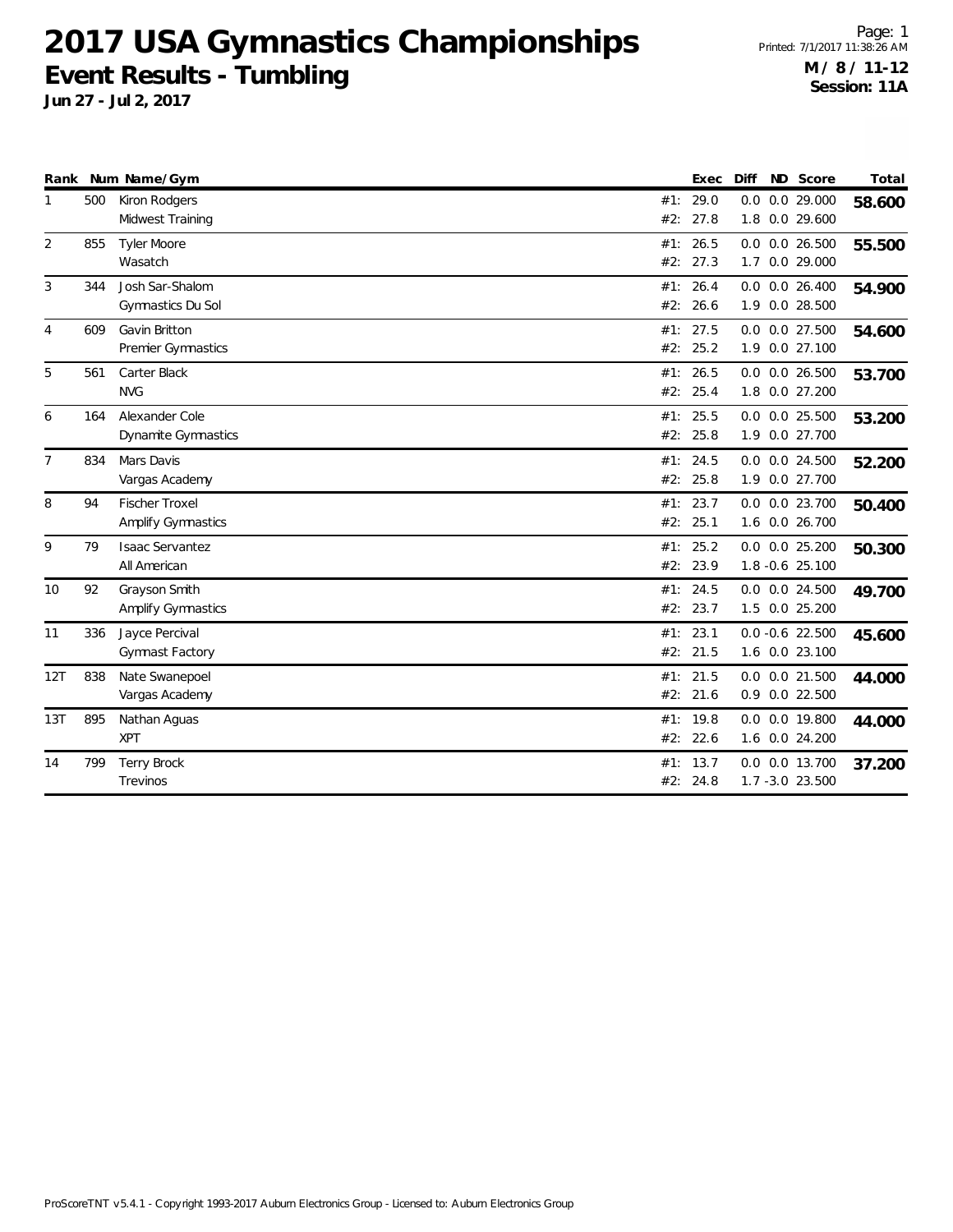**Jun 27 - Jul 2, 2017**

Page: 1 Printed: 7/1/2017 11:38:26 AM **M / 8 / 11-12 Session: 11A**

| Rank           |     | Num Name/Gym                                       |            | Exec             | Diff | ND Score                                | Total  |
|----------------|-----|----------------------------------------------------|------------|------------------|------|-----------------------------------------|--------|
|                | 500 | Kiron Rodgers<br>Midwest Training                  | #1:<br>#2: | 29.0<br>27.8     |      | $0.0$ $0.0$ 29.000<br>1.8 0.0 29.600    | 58.600 |
| 2              | 855 | Tyler Moore<br>Wasatch                             | #1:<br>#2: | 26.5<br>27.3     |      | $0.0$ $0.0$ 26.500<br>1.7 0.0 29.000    | 55.500 |
| 3              | 344 | Josh Sar-Shalom<br>Gymnastics Du Sol               | #1:        | 26.4<br>#2: 26.6 |      | $0.0$ $0.0$ 26.400<br>1.9 0.0 28.500    | 54.900 |
| 4              | 609 | Gavin Britton<br>Premier Gymnastics                | #2:        | #1: 27.5<br>25.2 |      | $0.0$ $0.0$ 27.500<br>1.9 0.0 27.100    | 54.600 |
| 5              | 561 | Carter Black<br><b>NVG</b>                         | #2:        | #1: 26.5<br>25.4 |      | $0.0$ $0.0$ 26.500<br>1.8 0.0 27.200    | 53.700 |
| 6              | 164 | Alexander Cole<br>Dynamite Gymnastics              | #1:<br>#2: | 25.5<br>25.8     |      | $0.0$ $0.0$ 25.500<br>1.9 0.0 27.700    | 53.200 |
| $\overline{7}$ | 834 | Mars Davis<br>Vargas Academy                       | #1:        | 24.5<br>#2: 25.8 |      | $0.0$ $0.0$ 24.500<br>1.9 0.0 27.700    | 52.200 |
| 8              | 94  | <b>Fischer Troxel</b><br><b>Amplify Gymnastics</b> | #2:        | #1: 23.7<br>25.1 |      | 0.0 0.0 23.700<br>1.6 0.0 26.700        | 50.400 |
| 9              | 79  | <b>Isaac Servantez</b><br>All American             | #1:<br>#2: | 25.2<br>23.9     |      | $0.0$ $0.0$ $25.200$<br>1.8 -0.6 25.100 | 50.300 |
| 10             | 92  | Grayson Smith<br><b>Amplify Gymnastics</b>         | #1:<br>#2: | 24.5<br>23.7     |      | $0.0$ $0.0$ 24.500<br>1.5 0.0 25.200    | 49.700 |
| 11             | 336 | Jayce Percival<br>Gymnast Factory                  | #1:        | 23.1<br>#2: 21.5 |      | $0.0 -0.6$ 22.500<br>1.6 0.0 23.100     | 45.600 |
| 12T            | 838 | Nate Swanepoel<br>Vargas Academy                   | #1:        | 21.5<br>#2: 21.6 |      | $0.0$ $0.0$ 21.500<br>0.9 0.0 22.500    | 44.000 |
| 13T            | 895 | Nathan Aguas<br><b>XPT</b>                         | #2:        | #1: 19.8<br>22.6 |      | 0.0 0.0 19.800<br>1.6 0.0 24.200        | 44.000 |
| 14             | 799 | <b>Terry Brock</b><br>Trevinos                     | #1:        | 13.7<br>#2: 24.8 |      | 0.0 0.0 13.700<br>1.7 -3.0 23.500       | 37.200 |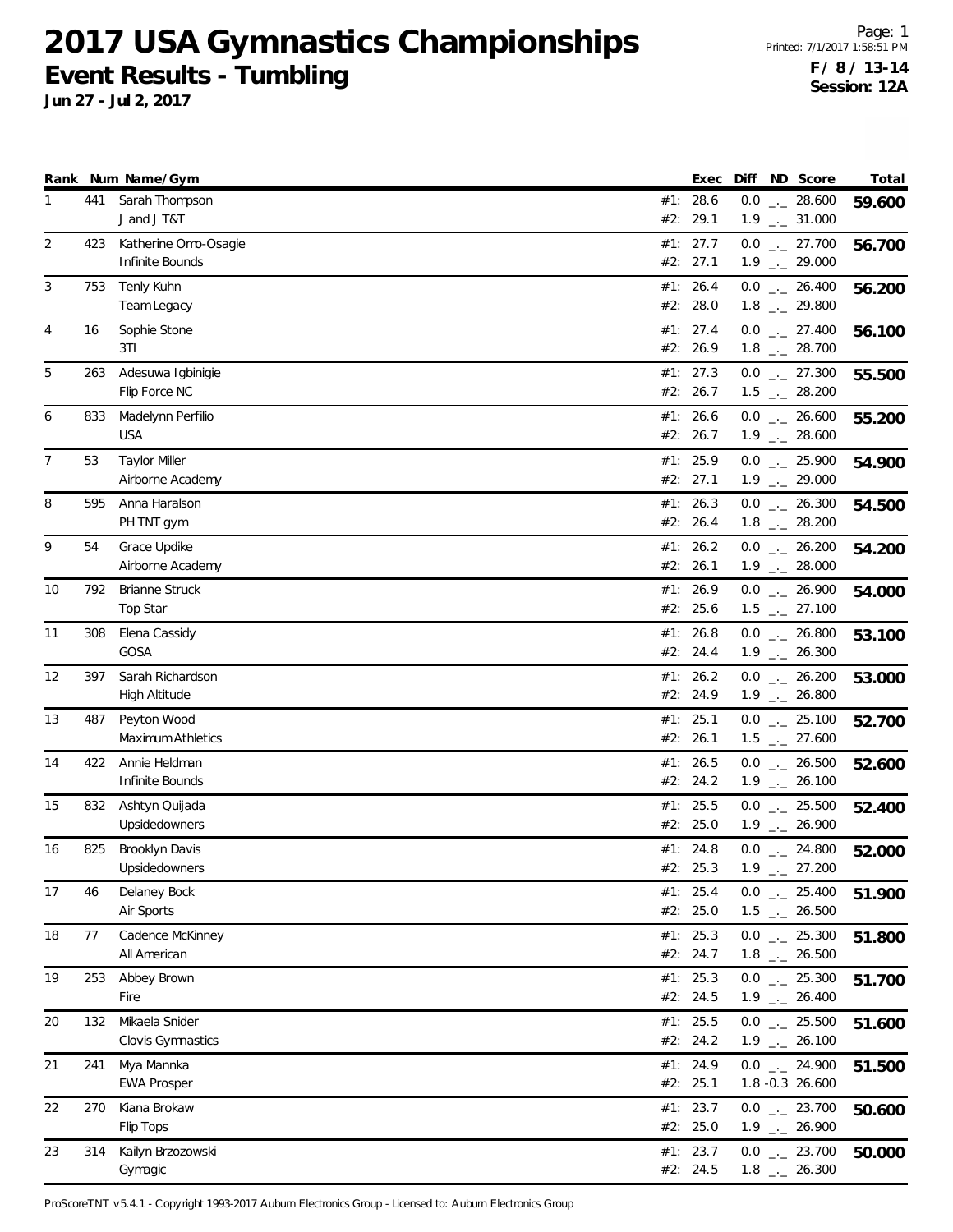**Jun 27 - Jul 2, 2017**

Page: 1 Printed: 7/1/2017 1:58:51 PM **F / 8 / 13-14 Session: 12A**

|    |     | Rank Num Name/Gym                        | Exec                   | Diff ND Score                                                | Total  |
|----|-----|------------------------------------------|------------------------|--------------------------------------------------------------|--------|
| 1  | 441 | Sarah Thompson<br>J and J T&T            | #1: 28.6<br>#2: 29.1   | $0.0$ _ 28.600<br>$1.9$ $_{\leftarrow}$ 31.000               | 59.600 |
| 2  | 423 | Katherine Omo-Osagie<br>Infinite Bounds  | #1: $27.7$<br>#2: 27.1 | $0.0$ $_{-}$ 27.700<br>$1.9$ $_{\leftarrow}$ 29.000          | 56.700 |
| 3  | 753 | Tenly Kuhn<br>Team Legacy                | #1: 26.4<br>#2: 28.0   | $0.0$ _ 26.400<br>$1.8$ $_{\leftarrow}$ 29.800               | 56.200 |
| 4  | 16  | Sophie Stone<br>3T1                      | #1: 27.4<br>#2: 26.9   | $0.0$ _ 27.400<br>$1.8$ $_{\leftarrow}$ 28.700               | 56.100 |
| 5  | 263 | Adesuwa Igbinigie<br>Flip Force NC       | #1: 27.3<br>#2: 26.7   | $0.0$ $_{\leftarrow}$ 27.300<br>$1.5$ $_{\leftarrow}$ 28.200 | 55.500 |
| 6  | 833 | Madelynn Perfilio<br><b>USA</b>          | #1: 26.6<br>#2: 26.7   | $0.0$ _ 26.600<br>$1.9$ $_{\leftarrow}$ 28.600               | 55.200 |
| 7  | 53  | <b>Taylor Miller</b><br>Airborne Academy | #1: $25.9$<br>#2: 27.1 | $0.0$ _ 25.900<br>$1.9$ $_{\leftarrow}$ 29.000               | 54.900 |
| 8  | 595 | Anna Haralson<br>PH TNT gym              | #1: 26.3<br>#2: 26.4   | $0.0$ _ 26.300<br>$1.8$ _._ 28.200                           | 54.500 |
| 9  | 54  | Grace Updike<br>Airborne Academy         | #1: 26.2<br>#2: 26.1   | $0.0$ _ 26.200<br>$1.9$ $_{\leftarrow}$ 28.000               | 54.200 |
| 10 | 792 | <b>Brianne Struck</b><br>Top Star        | #1: 26.9<br>#2: 25.6   | $0.0$ _ 26.900<br>$1.5$ $_{\leftarrow}$ 27.100               | 54.000 |
| 11 | 308 | Elena Cassidy<br>GOSA                    | #1: 26.8<br>#2: 24.4   | $0.0$ _ 26.800<br>$1.9$ $_{\leftarrow}$ 26.300               | 53.100 |
| 12 | 397 | Sarah Richardson<br><b>High Altitude</b> | #1: 26.2<br>#2: 24.9   | $0.0$ _ 26.200<br>$1.9$ $_{\leftarrow}$ 26.800               | 53.000 |
| 13 | 487 | Peyton Wood<br>Maximum Athletics         | #1: 25.1<br>#2: 26.1   | $0.0$ _._ 25.100<br>$1.5$ $_{\leftarrow}$ 27.600             | 52.700 |
| 14 | 422 | Annie Heldman<br>Infinite Bounds         | #1: 26.5<br>#2: 24.2   | $0.0$ _ 26.500<br>$1.9$ $_{\leftarrow}$ 26.100               | 52.600 |
| 15 | 832 | Ashtyn Quijada<br>Upsidedowners          | #1: 25.5<br>#2: 25.0   | $0.0$ _ 25.500<br>$1.9$ $_{\leftarrow}$ 26.900               | 52.400 |
| 16 | 825 | Brooklyn Davis<br>Upsidedowners          | #1: 24.8<br>#2: 25.3   | $0.0$ _ 24.800<br>$1.9$ $_{\leftarrow}$ 27.200               | 52.000 |
| 17 | 46  | Delaney Bock<br>Air Sports               | #1: 25.4<br>#2: 25.0   | $0.0$ _ 25.400<br>$1.5$ $_{\leftarrow}$ 26.500               | 51.900 |
| 18 | 77  | Cadence McKinney<br>All American         | #1: 25.3<br>#2: 24.7   | $0.0$ _ 25.300<br>$1.8$ $_{\leftarrow}$ 26.500               | 51.800 |
| 19 | 253 | Abbey Brown<br>Fire                      | #1: 25.3<br>#2: 24.5   | $0.0$ _ 25.300<br>$1.9$ $_{-}$ 26.400                        | 51.700 |
| 20 | 132 | Mikaela Snider<br>Clovis Gymnastics      | #1: 25.5<br>#2: 24.2   | $0.0$ _ 25.500<br>$1.9$ $_{\leftarrow}$ 26.100               | 51.600 |
| 21 | 241 | Mya Mannka<br><b>EWA Prosper</b>         | #1: 24.9<br>#2: 25.1   | $0.0$ _ 24.900<br>1.8 -0.3 26.600                            | 51.500 |
| 22 | 270 | Kiana Brokaw<br>Flip Tops                | #1: 23.7<br>#2: 25.0   | $0.0$ _ 23.700<br>$1.9$ $_{\leftarrow}$ 26.900               | 50.600 |
| 23 | 314 | Kailyn Brzozowski<br>Gymagic             | #1: 23.7<br>#2: 24.5   | $0.0$ _ 23.700<br>$1.8$ $_{-}$ 26.300                        | 50.000 |

ProScoreTNT v5.4.1 - Copyright 1993-2017 Auburn Electronics Group - Licensed to: Auburn Electronics Group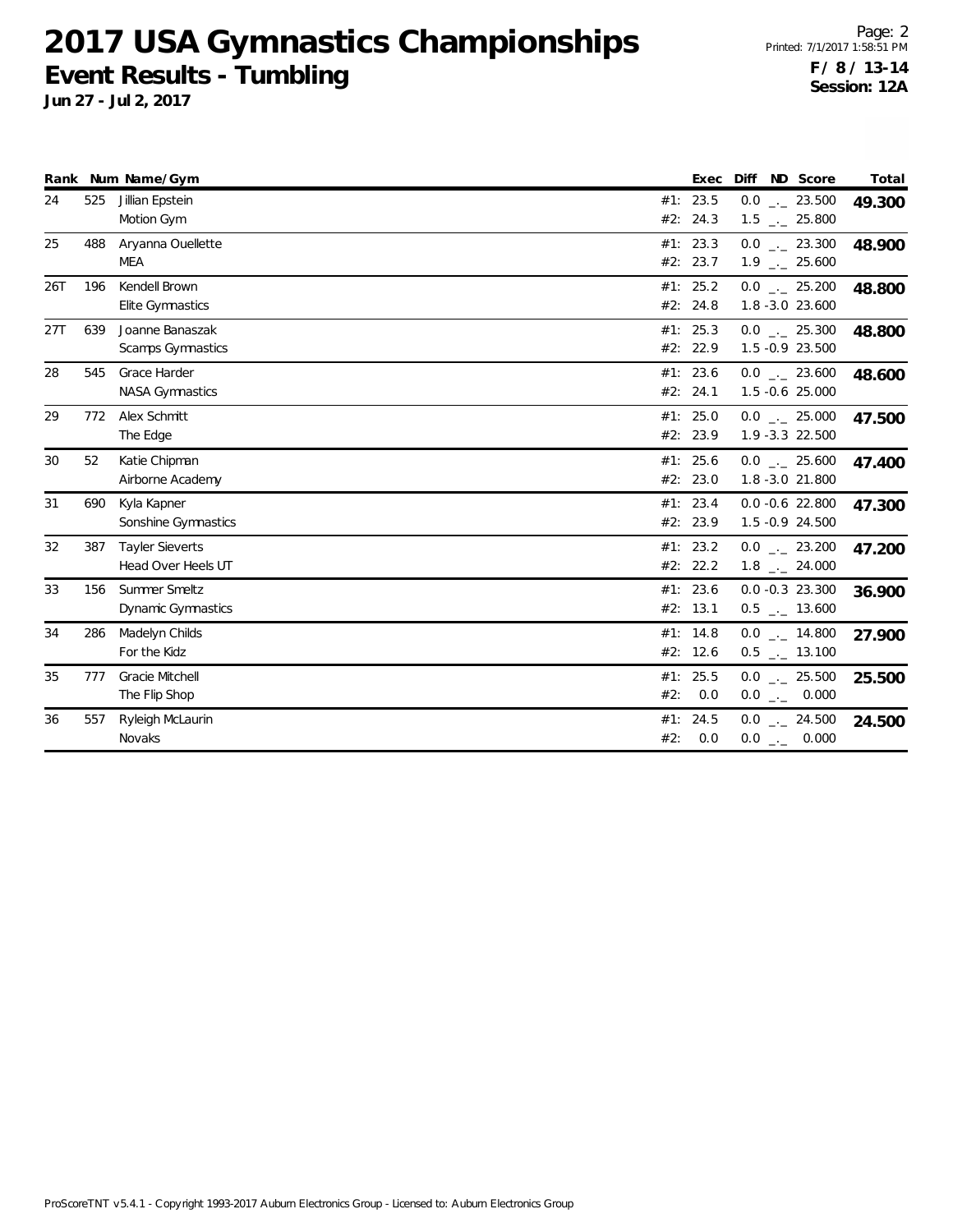**Jun 27 - Jul 2, 2017**

Page: 2 Printed: 7/1/2017 1:58:51 PM **F / 8 / 13-14 Session: 12A**

|     |     | Rank Num Name/Gym        |     | Exec       | Diff | ND Score                     | Total  |
|-----|-----|--------------------------|-----|------------|------|------------------------------|--------|
| 24  | 525 | Jillian Epstein          |     | #1: 23.5   |      | $0.0$ _._ 23.500             | 49.300 |
|     |     | Motion Gym               |     | #2: 24.3   |      | $1.5$ $_{-}$ 25.800          |        |
| 25  | 488 | Aryanna Ouellette        |     | #1: 23.3   |      | $0.0$ _._ 23.300             | 48.900 |
|     |     | MEA                      |     | #2: 23.7   |      | $1.9$ $_{\leftarrow}$ 25.600 |        |
| 26T | 196 | Kendell Brown            |     | #1: 25.2   |      | $0.0$ _._ 25.200             | 48.800 |
|     |     | Elite Gymnastics         |     | #2: 24.8   |      | 1.8 -3.0 23.600              |        |
| 27T | 639 | Joanne Banaszak          |     | #1: 25.3   |      | $0.0$ $_{\leftarrow}$ 25.300 | 48.800 |
|     |     | <b>Scamps Gymnastics</b> |     | #2: 22.9   |      | 1.5 -0.9 23.500              |        |
| 28  | 545 | Grace Harder             |     | #1: 23.6   |      | $0.0$ _._ 23.600             | 48.600 |
|     |     | <b>NASA Gymnastics</b>   |     | #2: 24.1   |      | 1.5 -0.6 25.000              |        |
| 29  | 772 | Alex Schmitt             |     | #1: 25.0   |      | $0.0$ _._ 25.000             | 47.500 |
|     |     | The Edge                 |     | #2: 23.9   |      | 1.9 - 3.3 22.500             |        |
| 30  | 52  | Katie Chipman            |     | #1: 25.6   |      | $0.0$ _._ 25.600             | 47.400 |
|     |     | Airborne Academy         |     | #2: 23.0   |      | 1.8 -3.0 21.800              |        |
| 31  | 690 | Kyla Kapner              |     | #1: 23.4   |      | $0.0 - 0.6$ 22.800           | 47.300 |
|     |     | Sonshine Gymnastics      |     | #2: 23.9   |      | 1.5 -0.9 24.500              |        |
| 32  | 387 | <b>Tayler Sieverts</b>   |     | #1: 23.2   |      | $0.0$ _._ 23.200             | 47.200 |
|     |     | Head Over Heels UT       |     | #2: 22.2   |      | $1.8$ _ $-$ 24.000           |        |
| 33  | 156 | Summer Smeltz            |     | #1: 23.6   |      | $0.0 -0.3$ 23.300            | 36.900 |
|     |     | Dynamic Gymnastics       |     | #2: 13.1   |      | $0.5$ __ 13.600              |        |
| 34  | 286 | Madelyn Childs           |     | #1: $14.8$ |      | $0.0$ _ $-14.800$            | 27.900 |
|     |     | For the Kidz             |     | #2: 12.6   |      | $0.5$ __ 13.100              |        |
| 35  | 777 | Gracie Mitchell          |     | #1: 25.5   |      | $0.0$ _._ 25.500             | 25.500 |
|     |     | The Flip Shop            | #2: | 0.0        |      | $0.0$ _ 0.000                |        |
| 36  | 557 | Ryleigh McLaurin         |     | #1: 24.5   |      | $0.0$ $_{-}$ 24.500          | 24.500 |
|     |     | Novaks                   | #2: | 0.0        |      | $0.0$ _ 0.000                |        |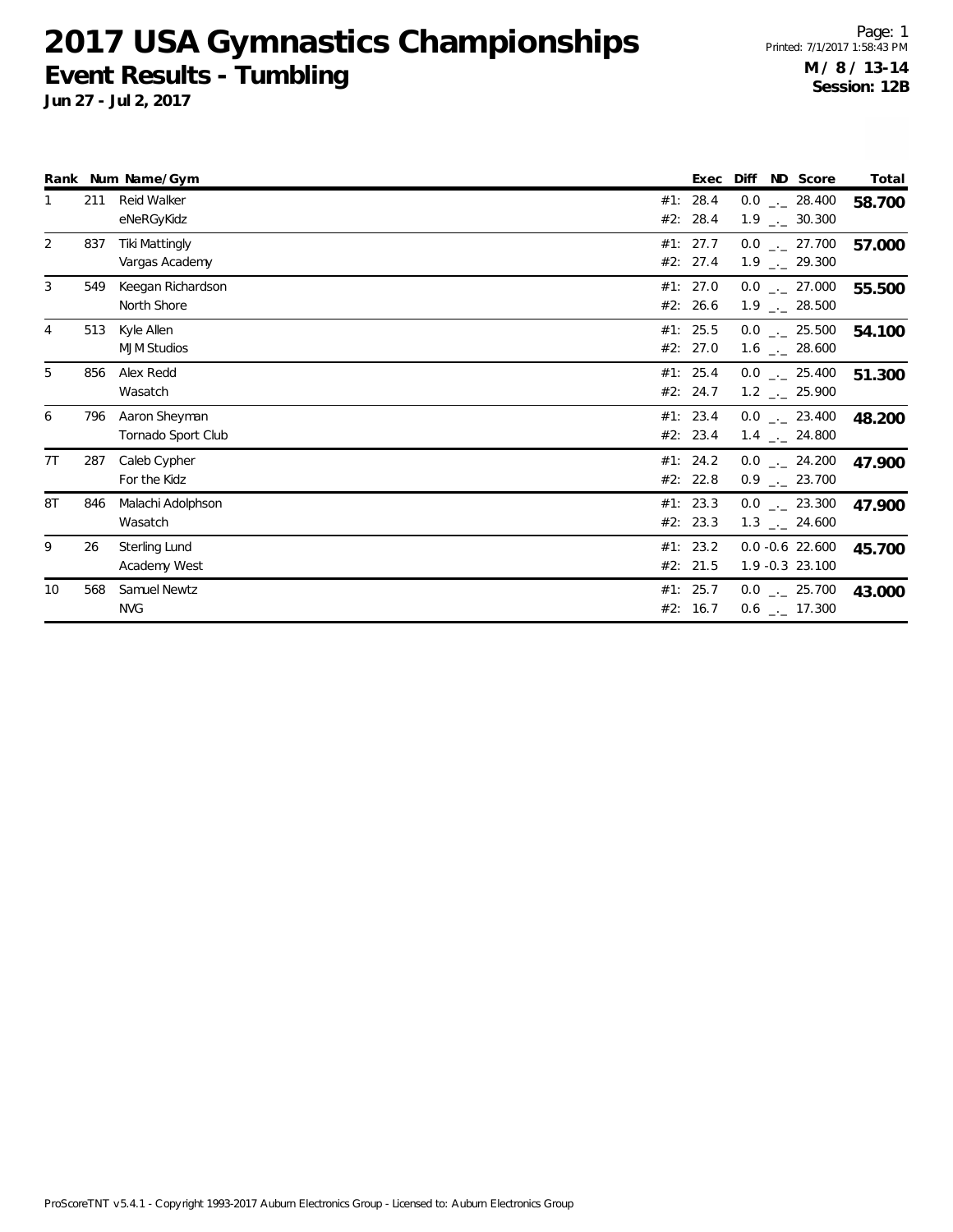**Jun 27 - Jul 2, 2017**

Page: 1 Printed: 7/1/2017 1:58:43 PM **M / 8 / 13-14 Session: 12B**

|    |     | Rank Num Name/Gym                       |     | Exec                 | Diff<br>ND Score                                   | Total  |
|----|-----|-----------------------------------------|-----|----------------------|----------------------------------------------------|--------|
|    | 211 | Reid Walker<br>eNeRGyKidz               | #1: | 28.4<br>#2: 28.4     | $0.0$ _ $-$ 28.400<br>$1.9$ $_{\leftarrow}$ 30.300 | 58.700 |
| 2  | 837 | <b>Tiki Mattingly</b><br>Vargas Academy |     | #1: 27.7<br>#2: 27.4 | $0.0$ _._ 27.700<br>$1.9$ $_{\leftarrow}$ 29.300   | 57.000 |
| 3  | 549 | Keegan Richardson<br>North Shore        |     | #1: 27.0<br>#2: 26.6 | $0.0$ _ 27.000<br>$1.9$ $_{\leftarrow}$ 28.500     | 55.500 |
| 4  | 513 | Kyle Allen<br><b>MJM Studios</b>        |     | #1: 25.5<br>#2: 27.0 | $0.0$ _ 25.500<br>$1.6$ $_{\leftarrow}$ 28.600     | 54.100 |
| 5  | 856 | Alex Redd<br>Wasatch                    |     | #1: 25.4<br>#2: 24.7 | $0.0$ _._ 25.400<br>$1.2$ $_{\leftarrow}$ 25.900   | 51.300 |
| 6  | 796 | Aaron Sheyman<br>Tornado Sport Club     |     | #1: 23.4<br>#2: 23.4 | $0.0$ _ 23.400<br>$1.4$ $_{-}$ 24.800              | 48.200 |
| 7T | 287 | Caleb Cypher<br>For the Kidz            |     | #1: 24.2<br>#2: 22.8 | $0.0$ _ 24.200<br>$0.9$ $_{\leftarrow}$ 23.700     | 47.900 |
| 8T | 846 | Malachi Adolphson<br>Wasatch            |     | #1: 23.3<br>#2: 23.3 | $0.0$ _ 23.300<br>$1.3$ $_{\leftarrow}$ 24.600     | 47.900 |
| 9  | 26  | Sterling Lund<br>Academy West           |     | #1: 23.2<br>#2: 21.5 | $0.0 - 0.6$ 22.600<br>1.9 -0.3 23.100              | 45.700 |
| 10 | 568 | Samuel Newtz<br><b>NVG</b>              |     | #1: 25.7<br>#2: 16.7 | $0.0$ _ $-25.700$<br>$0.6$ $_{\leftarrow}$ 17.300  | 43.000 |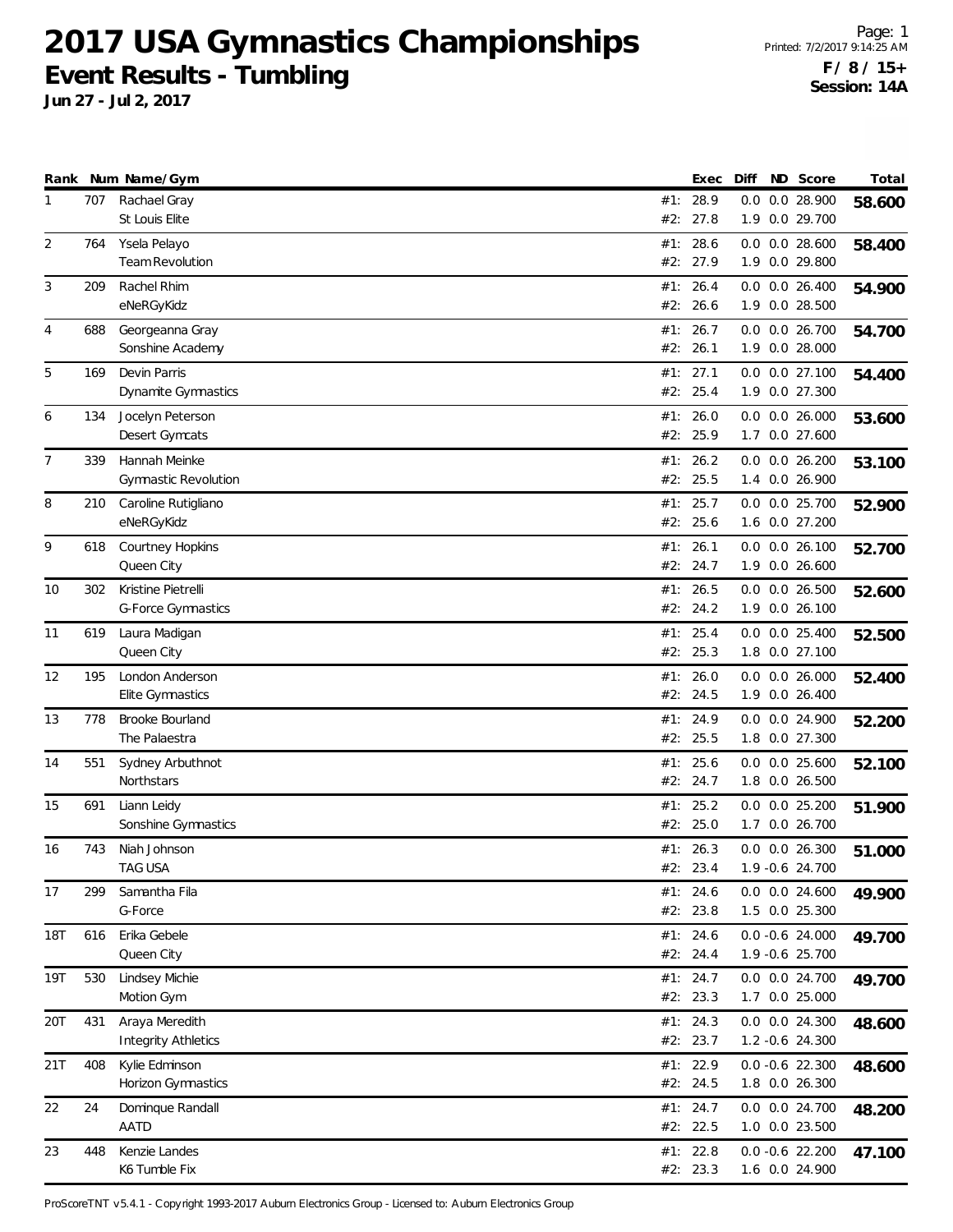**Jun 27 - Jul 2, 2017**

Page: 1 Printed: 7/2/2017 9:14:25 AM **F / 8 / 15+ Session: 14A**

|     |     | Rank Num Name/Gym                            |     | Exec                   | Diff | ND Score                               | Total  |
|-----|-----|----------------------------------------------|-----|------------------------|------|----------------------------------------|--------|
| 1   | 707 | Rachael Gray<br>St Louis Elite               | #2: | #1: 28.9<br>27.8       | 0.0  | 0.0 28.900<br>1.9 0.0 29.700           | 58.600 |
| 2   | 764 | Ysela Pelayo<br>Team Revolution              |     | #1: 28.6<br>#2: 27.9   |      | $0.0$ $0.0$ 28.600<br>1.9 0.0 29.800   | 58.400 |
| 3   | 209 | Rachel Rhim<br>eNeRGyKidz                    | #1: | 26.4<br>#2: 26.6       |      | $0.0$ $0.0$ 26.400<br>1.9 0.0 28.500   | 54.900 |
| 4   | 688 | Georgeanna Gray<br>Sonshine Academy          |     | #1: 26.7<br>#2: 26.1   |      | $0.0$ $0.0$ 26.700<br>1.9 0.0 28.000   | 54.700 |
| 5   | 169 | Devin Parris<br>Dynamite Gymnastics          |     | #1: 27.1<br>#2: 25.4   |      | $0.0$ $0.0$ 27.100<br>1.9 0.0 27.300   | 54.400 |
| 6   | 134 | Jocelyn Peterson<br>Desert Gymcats           | #1: | 26.0<br>#2: 25.9       |      | $0.0$ $0.0$ 26.000<br>1.7 0.0 27.600   | 53.600 |
| 7   | 339 | Hannah Meinke<br><b>Gymnastic Revolution</b> |     | #1: 26.2<br>#2: 25.5   |      | $0.0$ $0.0$ 26.200<br>1.4 0.0 26.900   | 53.100 |
| 8   | 210 | Caroline Rutigliano<br>eNeRGyKidz            |     | #1: 25.7<br>#2: 25.6   |      | 0.0 0.0 25.700<br>1.6 0.0 27.200       | 52.900 |
| 9   | 618 | Courtney Hopkins<br>Queen City               | #1: | 26.1<br>#2: 24.7       |      | $0.0$ $0.0$ 26.100<br>1.9 0.0 26.600   | 52.700 |
| 10  | 302 | Kristine Pietrelli<br>G-Force Gymnastics     |     | #1: 26.5<br>#2: 24.2   |      | $0.0$ $0.0$ 26.500<br>1.9 0.0 26.100   | 52.600 |
| 11  | 619 | Laura Madigan<br>Queen City                  |     | #1: $25.4$<br>#2: 25.3 |      | $0.0$ $0.0$ 25.400<br>1.8 0.0 27.100   | 52.500 |
| 12  | 195 | London Anderson<br>Elite Gymnastics          | #1: | 26.0<br>#2: 24.5       |      | $0.0$ $0.0$ 26.000<br>1.9 0.0 26.400   | 52.400 |
| 13  | 778 | Brooke Bourland<br>The Palaestra             |     | #1: 24.9<br>#2: 25.5   |      | 0.0 0.0 24.900<br>1.8 0.0 27.300       | 52.200 |
| 14  | 551 | Sydney Arbuthnot<br>Northstars               |     | #1: 25.6<br>#2: 24.7   |      | $0.0$ $0.0$ 25.600<br>1.8 0.0 26.500   | 52.100 |
| 15  | 691 | Liann Leidy<br>Sonshine Gymnastics           | #1: | 25.2<br>#2: 25.0       |      | $0.0$ $0.0$ $25.200$<br>1.7 0.0 26.700 | 51.900 |
| 16  | 743 | Niah Johnson<br>TAG USA                      |     | #1: 26.3<br>#2: 23.4   |      | $0.0$ $0.0$ 26.300<br>1.9 -0.6 24.700  | 51.000 |
| 17  | 299 | Samantha Fila<br>G-Force                     |     | #1: 24.6<br>#2: 23.8   |      | $0.0$ $0.0$ 24.600<br>1.5 0.0 25.300   | 49.900 |
| 18T | 616 | Erika Gebele<br>Queen City                   |     | #1: 24.6<br>#2: 24.4   |      | $0.0 - 0.6$ 24.000<br>1.9 -0.6 25.700  | 49.700 |
| 19T | 530 | Lindsey Michie<br>Motion Gym                 |     | #1: 24.7<br>#2: 23.3   |      | 0.0 0.0 24.700<br>1.7 0.0 25.000       | 49.700 |
| 20T | 431 | Araya Meredith<br><b>Integrity Athletics</b> |     | #1: 24.3<br>#2: 23.7   |      | 0.0 0.0 24.300<br>1.2 -0.6 24.300      | 48.600 |
| 21T | 408 | Kylie Edminson<br>Horizon Gymnastics         |     | #1: 22.9<br>#2: 24.5   |      | $0.0 -0.6$ 22.300<br>1.8 0.0 26.300    | 48.600 |
| 22  | 24  | Dominque Randall<br>AATD                     |     | #1: 24.7<br>#2: 22.5   |      | 0.0 0.0 24.700<br>1.0 0.0 23.500       | 48.200 |
| 23  | 448 | Kenzie Landes<br>K6 Tumble Fix               |     | #1: 22.8<br>#2: 23.3   |      | $0.0 - 0.6$ 22.200<br>1.6 0.0 24.900   | 47.100 |

ProScoreTNT v5.4.1 - Copyright 1993-2017 Auburn Electronics Group - Licensed to: Auburn Electronics Group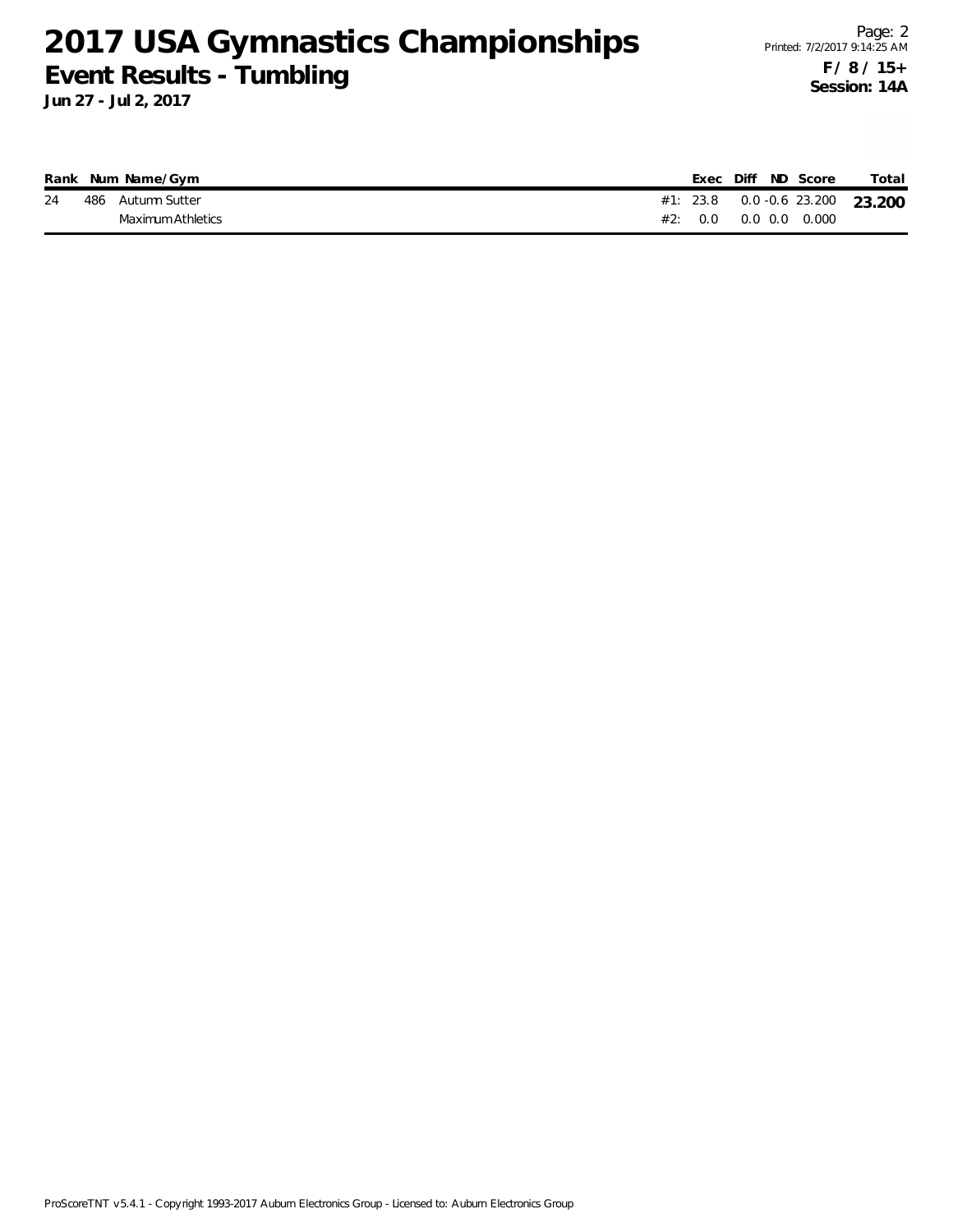**Jun 27 - Jul 2, 2017**

|    | Rank Num Name/Gym |  | Exec Diff ND Score    |  | Total                              |
|----|-------------------|--|-----------------------|--|------------------------------------|
| 24 | 486 Autumn Sutter |  |                       |  | #1: 23.8  0.0 -0.6  23.200  23.200 |
|    | Maximum Athletics |  | #2: 0.0 0.0 0.0 0.000 |  |                                    |